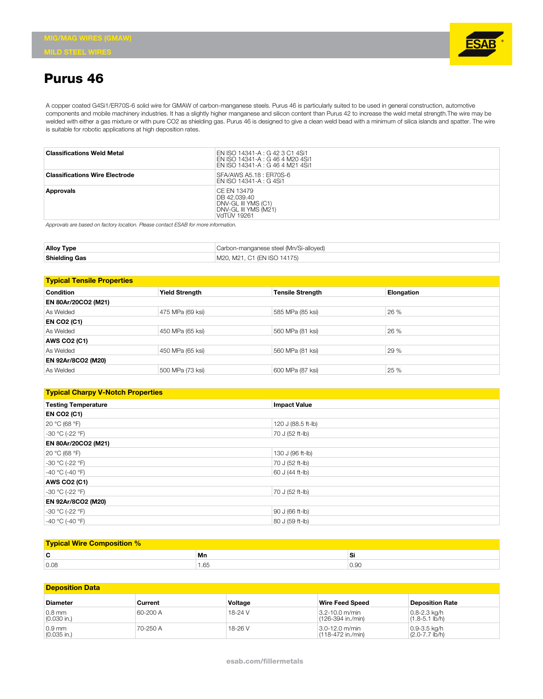

## **Purus 46**

A copper coated G4Si1/ER70S-6 solid wire for GMAW of carbon-manganese steels. Purus 46 is particularly suited to be used in general construction, automotive components and mobile machinery industries. It has a slightly higher manganese and silicon content than Purus 42 to increase the weld metal strength.The wire may be welded with either a gas mixture or with pure CO2 as shielding gas. Purus 46 is designed to give a clean weld bead with a minimum of silica islands and spatter. The wire is suitable for robotic applications at high deposition rates.

| <b>Classifications Weld Metal</b>     | EN ISO 14341-A : G 42 3 C1 4Si1<br>EN ISO 14341-A : G 46 4 M20 4Si1<br>EN ISO 14341-A : G 46 4 M21 4Si1 |
|---------------------------------------|---------------------------------------------------------------------------------------------------------|
| <b>Classifications Wire Electrode</b> | SFA/AWS A5.18 : ER70S-6<br>EN ISO 14341-A : G 4Si1                                                      |
| Approvals                             | CE FN 13479<br>DB 42.039.40<br>DNV-GL III YMS (C1)<br>DNV-GL III YMS (M21)<br><b>VdTUV 19261</b>        |

*Approvals are based on factory location. Please contact ESAB for more information.*

| <b>Alloy Type</b>    | Carbon-manganese steel (Mn/Si-alloyed) |  |
|----------------------|----------------------------------------|--|
| <b>Shielding Gas</b> | M20, M21, C1 (EN ISO 14175)            |  |

| <b>Typical Tensile Properties</b> |                       |                         |            |  |
|-----------------------------------|-----------------------|-------------------------|------------|--|
| <b>Condition</b>                  | <b>Yield Strength</b> | <b>Tensile Strength</b> | Elongation |  |
| <b>EN 80Ar/20CO2 (M21)</b>        |                       |                         |            |  |
| As Welded                         | 475 MPa (69 ksi)      | 585 MPa (85 ksi)        | 26 %       |  |
| <b>EN CO2 (C1)</b>                |                       |                         |            |  |
| As Welded                         | 450 MPa (65 ksi)      | 560 MPa (81 ksi)        | 26 %       |  |
| <b>AWS CO2 (C1)</b>               |                       |                         |            |  |
| As Welded                         | 450 MPa (65 ksi)      | 560 MPa (81 ksi)        | 29 %       |  |
| <b>EN 92Ar/8CO2 (M20)</b>         |                       |                         |            |  |
| As Welded                         | 500 MPa (73 ksi)      | 600 MPa (87 ksi)        | 25 %       |  |

| <b>Typical Charpy V-Notch Properties</b> |                     |  |  |
|------------------------------------------|---------------------|--|--|
| <b>Testing Temperature</b>               | <b>Impact Value</b> |  |  |
| <b>EN CO2 (C1)</b>                       |                     |  |  |
| 20 °C (68 °F)                            | 120 J (88.5 ft-lb)  |  |  |
| $-30 °C (-22 °F)$                        | 70 J (52 ft-lb)     |  |  |
| EN 80Ar/20CO2 (M21)                      |                     |  |  |
| 20 °C (68 °F)                            | 130 J (96 ft-lb)    |  |  |
| $-30 °C (-22 °F)$                        | 70 J (52 ft-lb)     |  |  |
| $-40 °C (-40 °F)$                        | 60 J (44 ft-lb)     |  |  |
| <b>AWS CO2 (C1)</b>                      |                     |  |  |
| $-30 °C (-22 °F)$<br>70 J (52 ft-lb)     |                     |  |  |
| EN 92Ar/8CO2 (M20)                       |                     |  |  |
| $-30 °C (-22 °F)$                        | 90 J (66 ft-lb)     |  |  |
| $-40 °C (-40 °F)$                        | 80 J (59 ft-lb)     |  |  |

| <b>Typical Wire Composition %</b> |      |      |  |
|-----------------------------------|------|------|--|
| ◠<br>ъ.                           | Mn   | Si   |  |
| 0.08                              | 1.65 | 0.9C |  |

## **Deposition Data**

| <b>Diameter</b>           | Current  | Voltage | <b>Wire Feed Speed</b>                    | Deposition Rate                         |
|---------------------------|----------|---------|-------------------------------------------|-----------------------------------------|
| $0.8$ mm<br>$(0.030$ in.) | 60-200 A | 18-24 V | $3.2 - 10.0$ m/min<br>l (126-394 in./min) | $0.8 - 2.3$ kg/h<br>$(1.8 - 5.1$ lb/h)  |
| $0.9$ mm<br>$(0.035$ in.) | 70-250 A | 18-26 V | $13.0 - 12.0$ m/min<br>(118-472 in./min)  | $0.9 - 3.5$ kg/h<br>$(2.0 - 7.7)$ lb/h) |